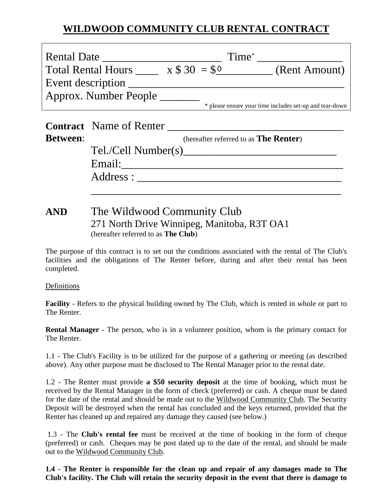## **WILDWOOD COMMUNITY CLUB RENTAL CONTRACT**

| <b>Rental Date</b>        |              | Time <sup>*</sup>                                       |
|---------------------------|--------------|---------------------------------------------------------|
| <b>Total Rental Hours</b> | $x $30 = $0$ | (Rent Amount)                                           |
| Event description         |              |                                                         |
| Approx. Number People     |              |                                                         |
|                           |              | * please ensure your time includes set-up and tear-down |

| (hereafter referred to as <b>The Renter</b> ) |
|-----------------------------------------------|
| Tel./Cell Number(s)                           |
| Email:                                        |
| Address:                                      |

## **AND** The Wildwood Community Club 271 North Drive Winnipeg, Manitoba, R3T OA1 (hereafter referred to as **The Club**)

The purpose of this contract is to set out the conditions associated with the rental of The Club's facilities and the obligations of The Renter before, during and after their rental bas been completed.

Definitions

**Facility** - Refers to the physical building owned by The Club, which is rented in whole or part to The Renter.

**Rental Manager** - The person, who is in a volunteer position, whom is the primary contact for The Renter.

1.1 - The Club's Facility is to be utilized for the purpose of a gathering or meeting (as described above). Any other purpose must be disclosed to The Rental Manager prior to the rental date.

1.2 - The Renter must provide **a \$50 security deposit** at the time of booking, which must be received by the Rental Manager in the form of check (preferred) or cash. A cheque must be dated for the date of the rental and should be made out to the Wildwood Community Club. The Security Deposit will be destroyed when the rental has concluded and the keys returned, provided that the Renter has cleaned up and repaired any damage they caused (see below.)

 1.3 - The **Club's rental fee** must be received at the time of booking in the form of cheque (preferred) or cash. Cheques may be post dated up to the date of the rental, and should be made out to the Wildwood Community Club.

**1.4 - The Renter is responsible for the clean up and repair of any damages made to The Club's facility. The Club will retain the security deposit in the event that there is damage to**